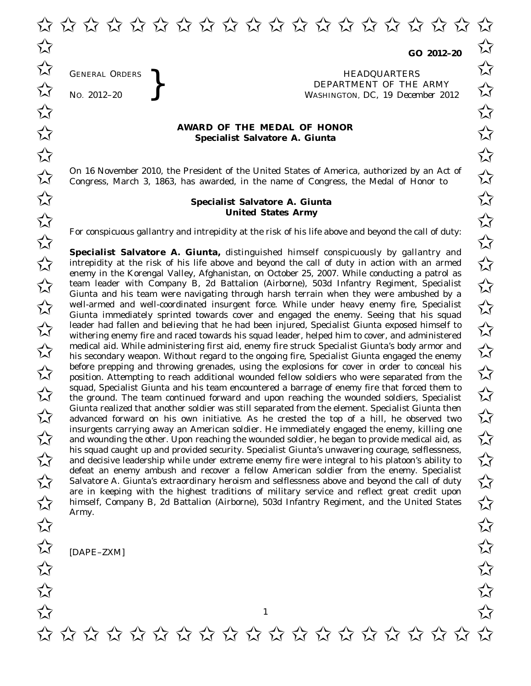✩ ✩ ✩ ✩ ✩ ✩ ✩ ✩ ✩ ✩ ✩ ✩ ✩ ✩ ✩ ✩ ✩ ✩ ✩ ✩  $\overrightarrow{\lambda}$  co 2012-20  $\overrightarrow{\lambda}$ 

**GO 2012–20**

GENERAL ORDERS **REAL ORDERS** HEADQUARTERS **HEADQUARTERS HEADQUARTERS HEADQUARTERS DEPARTMENT** OF THE **WASHINGTON**, DC, 19 Decem DEPARTMENT OF THE ARMY No. 2012–20<br>
No. 2012–20<br> **Solution, DEPARTMENT OF THE ARMY**<br>
WASHINGTON, DC, 19 December 2012  $\overrightarrow{\mathcal{A}}$  GENERAL ORDERS  $\overrightarrow{\mathcal{A}}$ 

## **AWARD OF THE MEDAL OF HONOR**<br>
Specialist Salvatore A. Giunta **Specialist Salvatore A. Giunta**

On 16 November 2010, the President of the United States of America, authorized by an Act of  $\overline{\mathcal{M}}$  Congress. March 3, 1863, has awarded, in the name of Congress, the Medal of Honor to  $\overline{\mathcal{M}}$ Congress, March 3, 1863, has awarded, in the name of Congress, the Medal of Honor to

## **Specialist Salvatore A. Giunta** ✩ ✩ **United States Army** United States Army

For conspicuous gallantry and intrepidity at the risk of his life above and beyond the call of duty:<br>  $\overrightarrow{\lambda}$ 

**Specialist Salvatore A. Giunta,** distinguished himself conspicuously by gallantry and **Specialist Salvatore A. Giunta**, distinguished himself conspicuously by gallantry and<br>intrepidity at the risk of his life above and beyond the call of duty in action with an armed enemy in the Korengal Valley, Afghanistan, on October 25, 2007. While conducting a patrol as team leader with Company B, 2d Battalion (Airborne), 503d Infantry Regiment, Specialist<br>
Strate and his team was posited through bond teams when they was enducled by a strategy of the company of the company of the company Giunta and his team were navigating through harsh terrain when they were ambushed by a well-armed and well-coordinated insurgent force. While under heavy enemy fire, Specialist with the coordinated insurgent force. While under heavy enemy fire, Specialist Giunta immediately sprinted towards cover and engaged the enemy. Seeing that his squad Leader had fallen and believing that he had been injured, Specialist Giunta exposed himself to  $\sim$ withering enemy fire and raced towards his squad leader, helped him to cover, and administered medical aid. While administering first aid, enemy fire struck Specialist Giunta's body armor and<br>
Notice a his secondary weapon. Without regard to the ongoing fire. Specialist Giunta engaged the enemy his secondary weapon. Without regard to the ongoing fire, Specialist Giunta engaged the enemy  $\overline{\mathcal{M}}$  before prepping and throwing grenades, using the explosions for cover in order to conceal his position. Attempting to reach additional wounded fellow soldiers who were separated from the position. Attempting to reach additional wounded fellow soldiers who were separated from the squad, Specialist Giunta and his team encountered a barrage of enemy fire that forced them to<br>
the ground. The team continued forward and upon reaching the wounded soldiers, Specialist the ground. The team continued forward and upon reaching the wounded soldiers, Specialist Giunta realized that another soldier was still separated from the element. Specialist Giunta then<br>advanced forward on his own initiative. As he crested the top of a hill, he observed two advanced forward on his own initiative. As he crested the top of a hill, he observed two insurgents carrying away an American soldier. He immediately engaged the enemy, killing one<br>and wounding the other. Upon reaching the wounded soldier, he began to provide medical aid, as and wounding the other. Upon reaching the wounded soldier, he began to provide medical aid, as his squad caught up and provided security. Specialist Giunta's unwavering courage, selflessness, his squad caught up and provided security. Specialist Giunta's unwavering courage, selflessness,<br>and decisive leadership while under extreme enemy fire were integral to his platoon's ability to  $\chi$ defeat an enemy ambush and recover a fellow American soldier from the enemy. Specialist defeat an enemy ambush and recover a fellow American soldier from the enemy. Specialist<br>Salvatore A. Giunta's extraordinary heroism and selflessness above and beyond the call of duty are in keeping with the highest traditions of military service and reflect great credit upon are in keeping with the highest traditions of military service and reflect great credit upon<br>himself, Company B, 2d Battalion (Airborne), 503d Infantry Regiment, and the United States Army.  $\frac{1}{2}$  Army.

[DAPE–ZXM]  $\overrightarrow{\lambda}$  IDAPE-ZXMI

GENERAL ORDERS

 $\stackrel{\frown}{\chi}$  $\stackrel{\wedge}{\sim}$